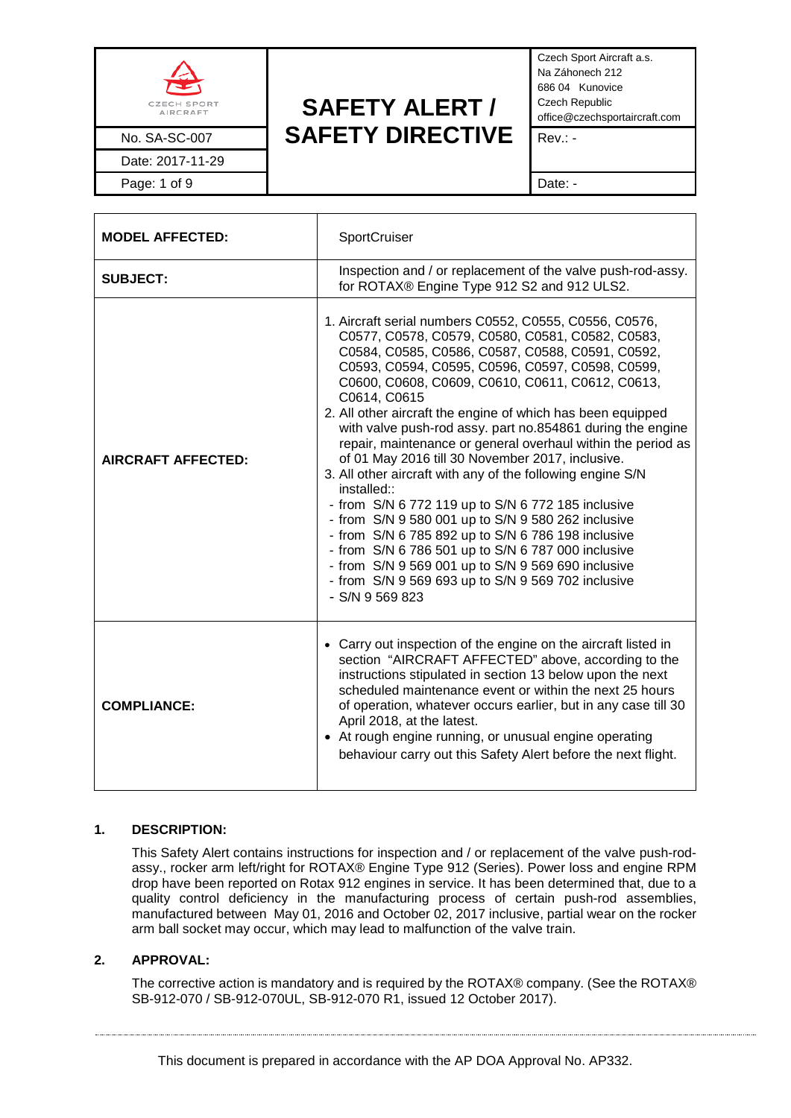

Date: 2017-11-29

# **SAFETY ALERT /** No. SA-SC-007 **SAFETY DIRECTIVE** Rev.: -

Czech Sport Aircraft a.s. Na Záhonech 212 686 04 Kunovice Czech Republic office@czechsportaircraft.com

Page: 1 of 9 Date: -

| <b>MODEL AFFECTED:</b>    | SportCruiser                                                                                                                                                                                                                                                                                                                                                                                                                                                                                                                                                                                                                                                                                                                                                                                                                                                                                                                                                                 |  |
|---------------------------|------------------------------------------------------------------------------------------------------------------------------------------------------------------------------------------------------------------------------------------------------------------------------------------------------------------------------------------------------------------------------------------------------------------------------------------------------------------------------------------------------------------------------------------------------------------------------------------------------------------------------------------------------------------------------------------------------------------------------------------------------------------------------------------------------------------------------------------------------------------------------------------------------------------------------------------------------------------------------|--|
| <b>SUBJECT:</b>           | Inspection and / or replacement of the valve push-rod-assy.<br>for ROTAX® Engine Type 912 S2 and 912 ULS2.                                                                                                                                                                                                                                                                                                                                                                                                                                                                                                                                                                                                                                                                                                                                                                                                                                                                   |  |
| <b>AIRCRAFT AFFECTED:</b> | 1. Aircraft serial numbers C0552, C0555, C0556, C0576,<br>C0577, C0578, C0579, C0580, C0581, C0582, C0583,<br>C0584, C0585, C0586, C0587, C0588, C0591, C0592,<br>C0593, C0594, C0595, C0596, C0597, C0598, C0599,<br>C0600, C0608, C0609, C0610, C0611, C0612, C0613,<br>C0614, C0615<br>2. All other aircraft the engine of which has been equipped<br>with valve push-rod assy. part no.854861 during the engine<br>repair, maintenance or general overhaul within the period as<br>of 01 May 2016 till 30 November 2017, inclusive.<br>3. All other aircraft with any of the following engine S/N<br>installed::<br>- from S/N 6 772 119 up to S/N 6 772 185 inclusive<br>- from S/N 9 580 001 up to S/N 9 580 262 inclusive<br>- from S/N 6 785 892 up to S/N 6 786 198 inclusive<br>- from S/N 6 786 501 up to S/N 6 787 000 inclusive<br>- from S/N 9 569 001 up to S/N 9 569 690 inclusive<br>- from S/N 9 569 693 up to S/N 9 569 702 inclusive<br>$-S/N$ 9 569 823 |  |
| <b>COMPLIANCE:</b>        | • Carry out inspection of the engine on the aircraft listed in<br>section "AIRCRAFT AFFECTED" above, according to the<br>instructions stipulated in section 13 below upon the next<br>scheduled maintenance event or within the next 25 hours<br>of operation, whatever occurs earlier, but in any case till 30<br>April 2018, at the latest.<br>• At rough engine running, or unusual engine operating<br>behaviour carry out this Safety Alert before the next flight.                                                                                                                                                                                                                                                                                                                                                                                                                                                                                                     |  |

#### **1. DESCRIPTION:**

This Safety Alert contains instructions for inspection and / or replacement of the valve push-rodassy., rocker arm left/right for ROTAX® Engine Type 912 (Series). Power loss and engine RPM drop have been reported on Rotax 912 engines in service. It has been determined that, due to a quality control deficiency in the manufacturing process of certain push-rod assemblies, manufactured between May 01, 2016 and October 02, 2017 inclusive, partial wear on the rocker arm ball socket may occur, which may lead to malfunction of the valve train.

#### **2. APPROVAL:**

The corrective action is mandatory and is required by the ROTAX® company. (See the ROTAX® SB-912-070 / SB-912-070UL, SB-912-070 R1, issued 12 October 2017).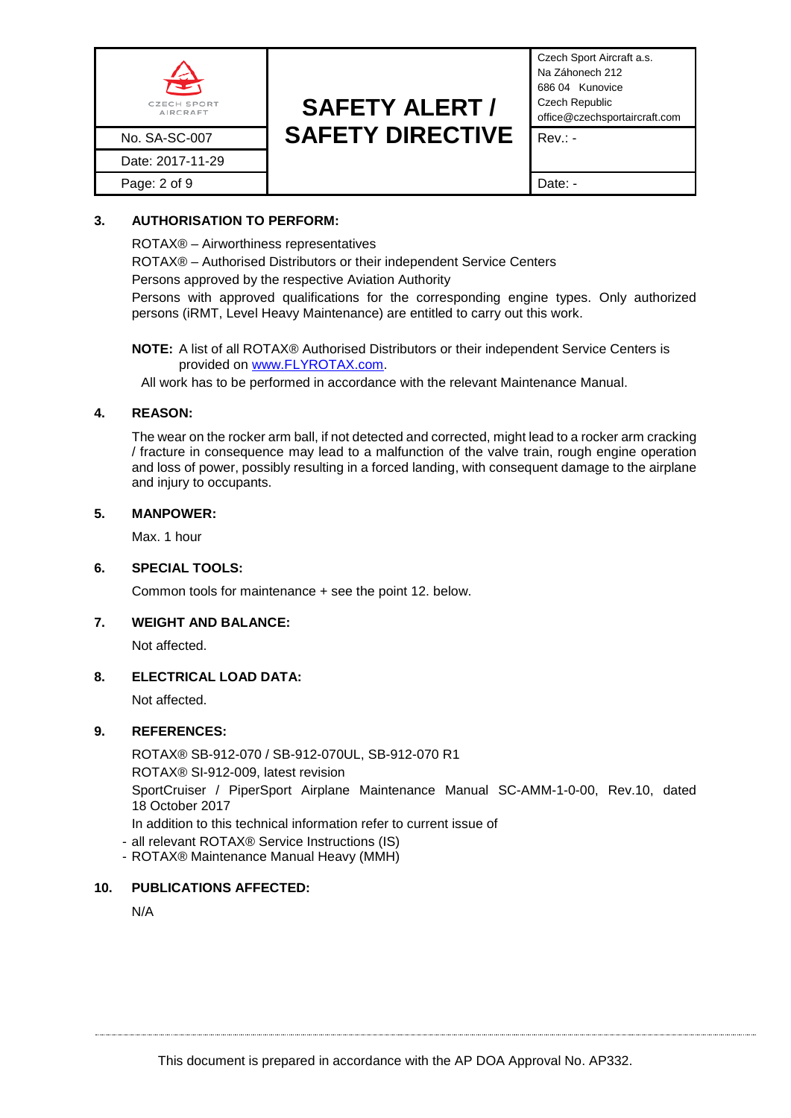

Czech Sport Aircraft a.s. Na Záhonech 212 686 04 Kunovice Czech Republic office@czechsportaircraft.com

## **3. AUTHORISATION TO PERFORM:**

ROTAX® – Airworthiness representatives

ROTAX® – Authorised Distributors or their independent Service Centers

Persons approved by the respective Aviation Authority

Persons with approved qualifications for the corresponding engine types. Only authorized persons (iRMT, Level Heavy Maintenance) are entitled to carry out this work.

**NOTE:** A list of all ROTAX® Authorised Distributors or their independent Service Centers is provided on [www.FLYROTAX.com.](http://www.flyrotax.com/)

All work has to be performed in accordance with the relevant Maintenance Manual.

### **4. REASON:**

The wear on the rocker arm ball, if not detected and corrected, might lead to a rocker arm cracking / fracture in consequence may lead to a malfunction of the valve train, rough engine operation and loss of power, possibly resulting in a forced landing, with consequent damage to the airplane and injury to occupants.

#### **5. MANPOWER:**

Max. 1 hour

#### **6. SPECIAL TOOLS:**

Common tools for maintenance + see the point 12. below.

#### **7. WEIGHT AND BALANCE:**

Not affected.

### **8. ELECTRICAL LOAD DATA:**

Not affected.

### **9. REFERENCES:**

ROTAX® SB-912-070 / SB-912-070UL, SB-912-070 R1 ROTAX® SI-912-009, latest revision SportCruiser / PiperSport Airplane Maintenance Manual SC-AMM-1-0-00, Rev.10, dated 18 October 2017 In addition to this technical information refer to current issue of

- all relevant ROTAX® Service Instructions (IS)
- ROTAX® Maintenance Manual Heavy (MMH)

### **10. PUBLICATIONS AFFECTED:**

N/A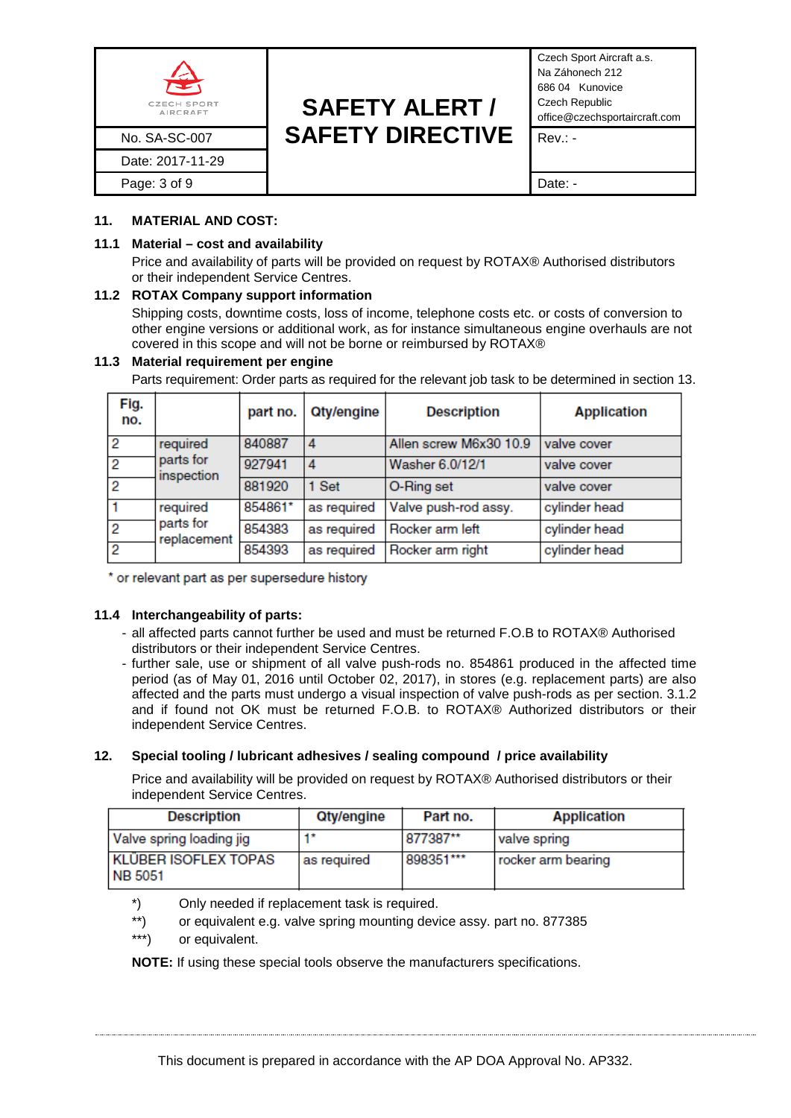

Czech Sport Aircraft a.s. Na Záhonech 212 686 04 Kunovice Czech Republic office@czechsportaircraft.com

#### **11. MATERIAL AND COST:**

#### **11.1 Material – cost and availability**

Price and availability of parts will be provided on request by ROTAX® Authorised distributors or their independent Service Centres.

#### **11.2 ROTAX Company support information**

Shipping costs, downtime costs, loss of income, telephone costs etc. or costs of conversion to other engine versions or additional work, as for instance simultaneous engine overhauls are not covered in this scope and will not be borne or reimbursed by ROTAX®

#### **11.3 Material requirement per engine**

Parts requirement: Order parts as required for the relevant job task to be determined in section 13.

| Fig.<br>no.    |                          | part no. | <b>Qty/engine</b> | <b>Description</b>     | <b>Application</b> |
|----------------|--------------------------|----------|-------------------|------------------------|--------------------|
| $\overline{2}$ | required                 | 840887   | 4                 | Allen screw M6x30 10.9 | valve cover        |
| $\overline{2}$ | parts for<br>inspection  | 927941   | 4                 | Washer 6.0/12/1        | valve cover        |
| $\overline{2}$ |                          | 881920   | 1 Set             | O-Ring set             | valve cover        |
| $\overline{1}$ | required                 | 854861*  | as required       | Valve push-rod assy.   | cylinder head      |
| $\overline{2}$ | parts for<br>replacement | 854383   | as required       | Rocker arm left        | cylinder head      |
| $\overline{2}$ |                          | 854393   | as required       | Rocker arm right       | cylinder head      |

\* or relevant part as per supersedure history

#### **11.4 Interchangeability of parts:**

- all affected parts cannot further be used and must be returned F.O.B to ROTAX® Authorised distributors or their independent Service Centres.
- further sale, use or shipment of all valve push-rods no. 854861 produced in the affected time period (as of May 01, 2016 until October 02, 2017), in stores (e.g. replacement parts) are also affected and the parts must undergo a visual inspection of valve push-rods as per section. 3.1.2 and if found not OK must be returned F.O.B. to ROTAX® Authorized distributors or their independent Service Centres.

### **12. Special tooling / lubricant adhesives / sealing compound / price availability**

Price and availability will be provided on request by ROTAX® Authorised distributors or their independent Service Centres.

| <b>Description</b>                            | Qty/engine  | Part no.  | <b>Application</b> |
|-----------------------------------------------|-------------|-----------|--------------------|
| Valve spring loading jig                      |             | 1877387** | valve spring       |
| <b>KLÜBER ISOFLEX TOPAS</b><br><b>NB 5051</b> | as required | 898351*** | rocker arm bearing |

- \*) Only needed if replacement task is required.
- \*\*) or equivalent e.g. valve spring mounting device assy. part no. 877385
- \*\*\*) or equivalent.

**NOTE:** If using these special tools observe the manufacturers specifications.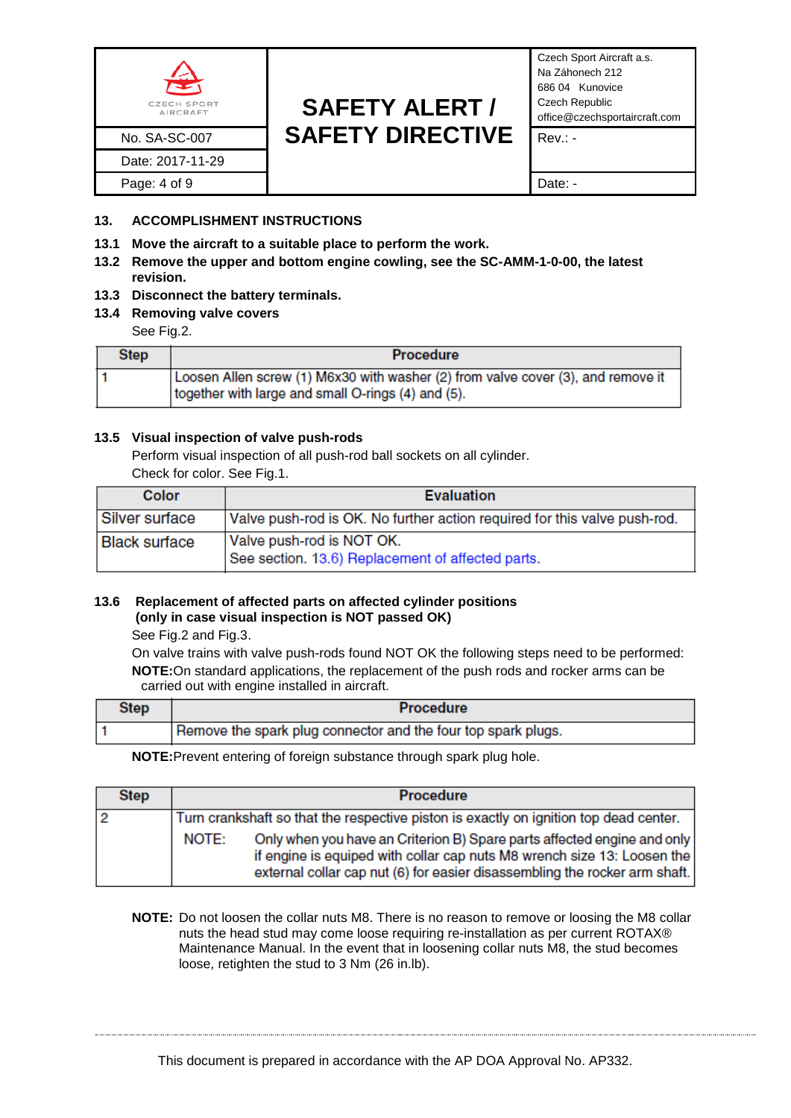

Czech Sport Aircraft a.s. Na Záhonech 212 686 04 Kunovice Czech Republic office@czechsportaircraft.com

## **13. ACCOMPLISHMENT INSTRUCTIONS**

- **13.1 Move the aircraft to a suitable place to perform the work.**
- **13.2 Remove the upper and bottom engine cowling, see the SC-AMM-1-0-00, the latest revision.**
- **13.3 Disconnect the battery terminals.**
- **13.4 Removing valve covers**

See Fig.2.

| <b>Step</b> | <b>Procedure</b>                                                                                                                       |
|-------------|----------------------------------------------------------------------------------------------------------------------------------------|
|             | Loosen Allen screw (1) M6x30 with washer (2) from valve cover (3), and remove it<br>together with large and small O-rings (4) and (5). |

#### **13.5 Visual inspection of valve push-rods**

Perform visual inspection of all push-rod ball sockets on all cylinder.

Check for color. See Fig.1.

| Color                | <b>Evaluation</b>                                                              |
|----------------------|--------------------------------------------------------------------------------|
| Silver surface       | Valve push-rod is OK. No further action required for this valve push-rod.      |
| <b>Black surface</b> | Valve push-rod is NOT OK.<br>See section. 13.6) Replacement of affected parts. |

#### **13.6 Replacement of affected parts on affected cylinder positions (only in case visual inspection is NOT passed OK)**

See Fig.2 and Fig.3.

On valve trains with valve push-rods found NOT OK the following steps need to be performed: **NOTE:**On standard applications, the replacement of the push rods and rocker arms can be carried out with engine installed in aircraft.

| Remove the spark plug connector and the four top spark plugs. |
|---------------------------------------------------------------|
|                                                               |

**NOTE:**Prevent entering of foreign substance through spark plug hole.

| <b>Step</b> |       | <b>Procedure</b>                                                                                                                                                                                                                 |
|-------------|-------|----------------------------------------------------------------------------------------------------------------------------------------------------------------------------------------------------------------------------------|
|             |       | Turn crankshaft so that the respective piston is exactly on ignition top dead center.                                                                                                                                            |
|             | NOTE: | Only when you have an Criterion B) Spare parts affected engine and only<br>if engine is equiped with collar cap nuts M8 wrench size 13: Loosen the<br>external collar cap nut (6) for easier disassembling the rocker arm shaft. |

**NOTE:** Do not loosen the collar nuts M8. There is no reason to remove or loosing the M8 collar nuts the head stud may come loose requiring re-installation as per current ROTAX® Maintenance Manual. In the event that in loosening collar nuts M8, the stud becomes loose, retighten the stud to 3 Nm (26 in.lb).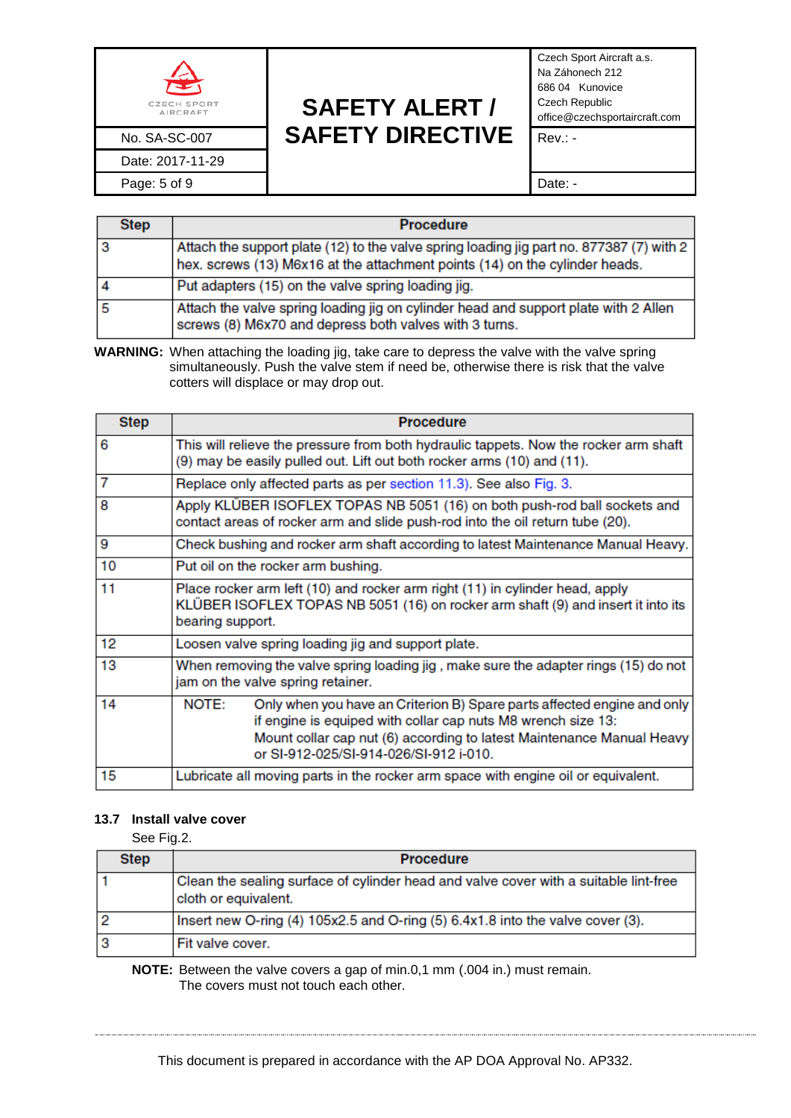

Date: 2017-11-29

# **SAFETY ALERT /** No. SA-SC-007 **SAFETY DIRECTIVE** Rev.: -

Czech Sport Aircraft a.s. Na Záhonech 212 686 04 Kunovice Czech Republic office@czechsportaircraft.com

Page: 5 of 9 Date: -

| <b>Step</b> | <b>Procedure</b>                                                                                                                                                        |
|-------------|-------------------------------------------------------------------------------------------------------------------------------------------------------------------------|
|             | Attach the support plate (12) to the valve spring loading jig part no. 877387 (7) with 2<br>hex. screws (13) M6x16 at the attachment points (14) on the cylinder heads. |
|             | Put adapters (15) on the valve spring loading jig.                                                                                                                      |
|             | Attach the valve spring loading jig on cylinder head and support plate with 2 Allen<br>screws (8) M6x70 and depress both valves with 3 turns.                           |

**WARNING:** When attaching the loading jig, take care to depress the valve with the valve spring simultaneously. Push the valve stem if need be, otherwise there is risk that the valve cotters will displace or may drop out.

| <b>Step</b> | <b>Procedure</b>                                                                                                                                                                                                                                                    |  |
|-------------|---------------------------------------------------------------------------------------------------------------------------------------------------------------------------------------------------------------------------------------------------------------------|--|
| 6           | This will relieve the pressure from both hydraulic tappets. Now the rocker arm shaft<br>(9) may be easily pulled out. Lift out both rocker arms (10) and (11).                                                                                                      |  |
| 7           | Replace only affected parts as per section 11.3). See also Fig. 3.                                                                                                                                                                                                  |  |
| 8           | Apply KLÜBER ISOFLEX TOPAS NB 5051 (16) on both push-rod ball sockets and<br>contact areas of rocker arm and slide push-rod into the oil return tube (20).                                                                                                          |  |
| 9           | Check bushing and rocker arm shaft according to latest Maintenance Manual Heavy.                                                                                                                                                                                    |  |
| 10          | Put oil on the rocker arm bushing.                                                                                                                                                                                                                                  |  |
| 11          | Place rocker arm left (10) and rocker arm right (11) in cylinder head, apply<br>KLÜBER ISOFLEX TOPAS NB 5051 (16) on rocker arm shaft (9) and insert it into its<br>bearing support.                                                                                |  |
| 12          | Loosen valve spring loading jig and support plate.                                                                                                                                                                                                                  |  |
| 13          | When removing the valve spring loading jig, make sure the adapter rings (15) do not<br>jam on the valve spring retainer.                                                                                                                                            |  |
| 14          | NOTE:<br>Only when you have an Criterion B) Spare parts affected engine and only<br>if engine is equiped with collar cap nuts M8 wrench size 13:<br>Mount collar cap nut (6) according to latest Maintenance Manual Heavy<br>or SI-912-025/SI-914-026/SI-912 i-010. |  |
| 15          | Lubricate all moving parts in the rocker arm space with engine oil or equivalent.                                                                                                                                                                                   |  |

#### **13.7 Install valve cover**

See Fig.2.

| <b>Step</b> | <b>Procedure</b>                                                                                             |
|-------------|--------------------------------------------------------------------------------------------------------------|
|             | Clean the sealing surface of cylinder head and valve cover with a suitable lint-free<br>cloth or equivalent. |
|             | Insert new O-ring (4) 105x2.5 and O-ring (5) 6.4x1.8 into the valve cover (3).                               |
|             | Fit valve cover.                                                                                             |

**NOTE:** Between the valve covers a gap of min.0,1 mm (.004 in.) must remain. The covers must not touch each other.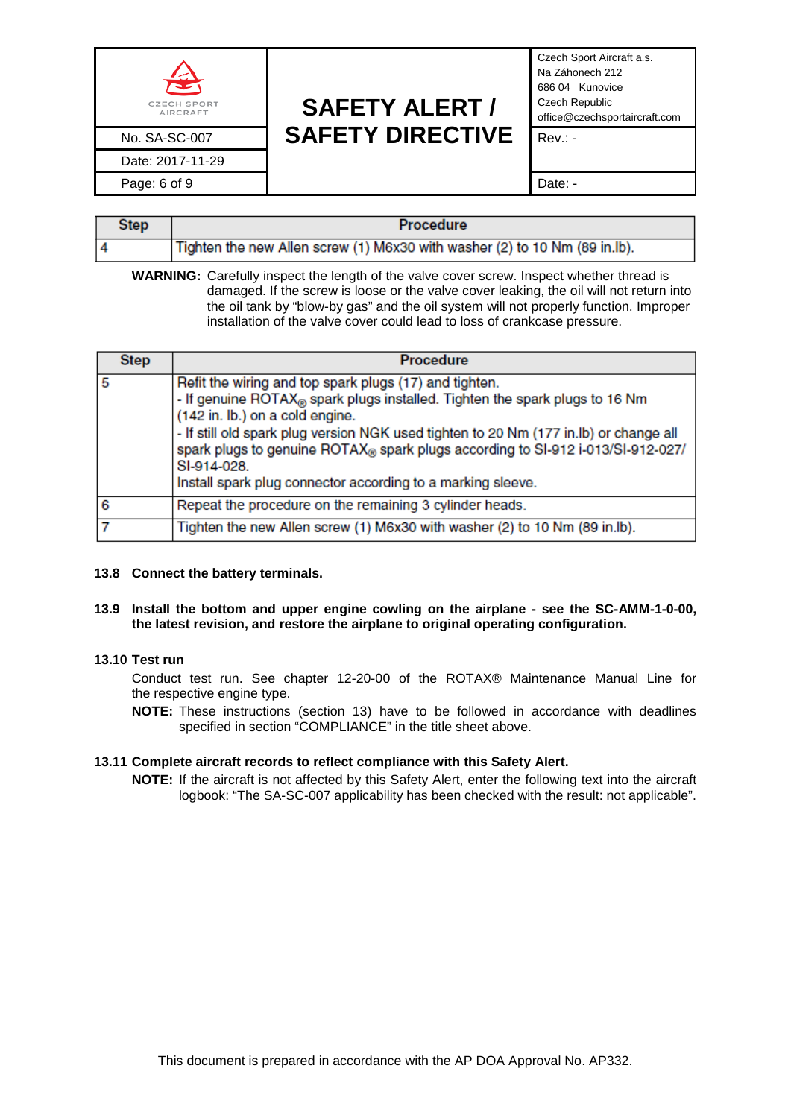| 쏲<br><b>CZECH SPORT</b><br>AIRCRAFT | <b>SAFETY ALERT /</b>   | Czech Sport Aircraft a.s.<br>Na Záhonech 212<br>686 04 Kunovice<br>Czech Republic<br>office@czechsportaircraft.com |
|-------------------------------------|-------------------------|--------------------------------------------------------------------------------------------------------------------|
| No. SA-SC-007                       | <b>SAFETY DIRECTIVE</b> | $Rev: -$                                                                                                           |
| Date: 2017-11-29                    |                         |                                                                                                                    |
| Page: 6 of 9                        |                         | Date: -                                                                                                            |

| <b>Step</b> | <b>Procedure</b>                                                           |
|-------------|----------------------------------------------------------------------------|
|             | Tighten the new Allen screw (1) M6x30 with washer (2) to 10 Nm (89 in.lb). |

**WARNING:** Carefully inspect the length of the valve cover screw. Inspect whether thread is damaged. If the screw is loose or the valve cover leaking, the oil will not return into the oil tank by "blow-by gas" and the oil system will not properly function. Improper installation of the valve cover could lead to loss of crankcase pressure.

| <b>Step</b> | <b>Procedure</b>                                                                                                                                                                                                                                                                                                                                                                                                                               |  |
|-------------|------------------------------------------------------------------------------------------------------------------------------------------------------------------------------------------------------------------------------------------------------------------------------------------------------------------------------------------------------------------------------------------------------------------------------------------------|--|
|             | Refit the wiring and top spark plugs (17) and tighten.<br>- If genuine ROTAX <sub>®</sub> spark plugs installed. Tighten the spark plugs to 16 Nm<br>(142 in. lb.) on a cold engine.<br>- If still old spark plug version NGK used tighten to 20 Nm (177 in.lb) or change all<br>spark plugs to genuine ROTAX® spark plugs according to SI-912 i-013/SI-912-027/<br>SI-914-028.<br>Install spark plug connector according to a marking sleeve. |  |
| 6           | Repeat the procedure on the remaining 3 cylinder heads.                                                                                                                                                                                                                                                                                                                                                                                        |  |
|             | Tighten the new Allen screw (1) M6x30 with washer (2) to 10 Nm (89 in.lb).                                                                                                                                                                                                                                                                                                                                                                     |  |

#### **13.8 Connect the battery terminals.**

#### **13.9 Install the bottom and upper engine cowling on the airplane - see the SC-AMM-1-0-00, the latest revision, and restore the airplane to original operating configuration.**

### **13.10 Test run**

Conduct test run. See chapter 12-20-00 of the ROTAX® Maintenance Manual Line for the respective engine type.

**NOTE:** These instructions (section 13) have to be followed in accordance with deadlines specified in section "COMPLIANCE" in the title sheet above.

#### **13.11 Complete aircraft records to reflect compliance with this Safety Alert.**

**NOTE:** If the aircraft is not affected by this Safety Alert, enter the following text into the aircraft logbook: "The SA-SC-007 applicability has been checked with the result: not applicable".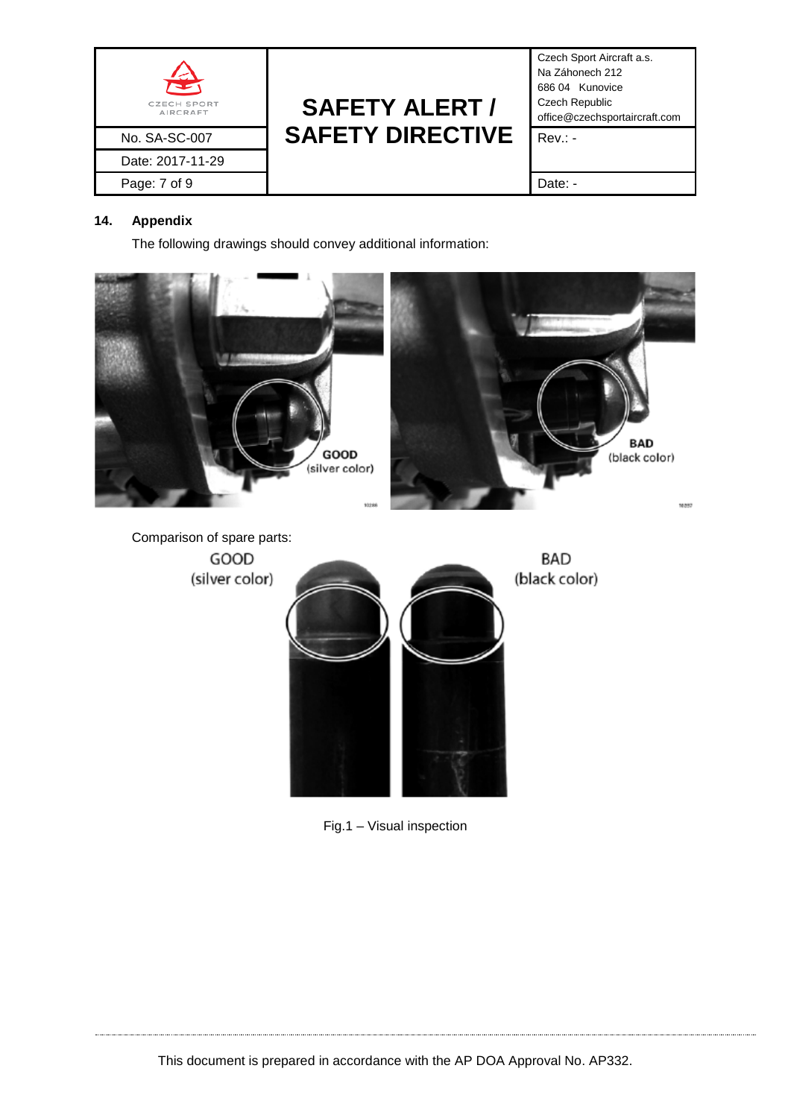

Czech Sport Aircraft a.s. Na Záhonech 212 686 04 Kunovice Czech Republic office@czechsportaircraft.com

## **14. Appendix**

The following drawings should convey additional information:



Fig.1 – Visual inspection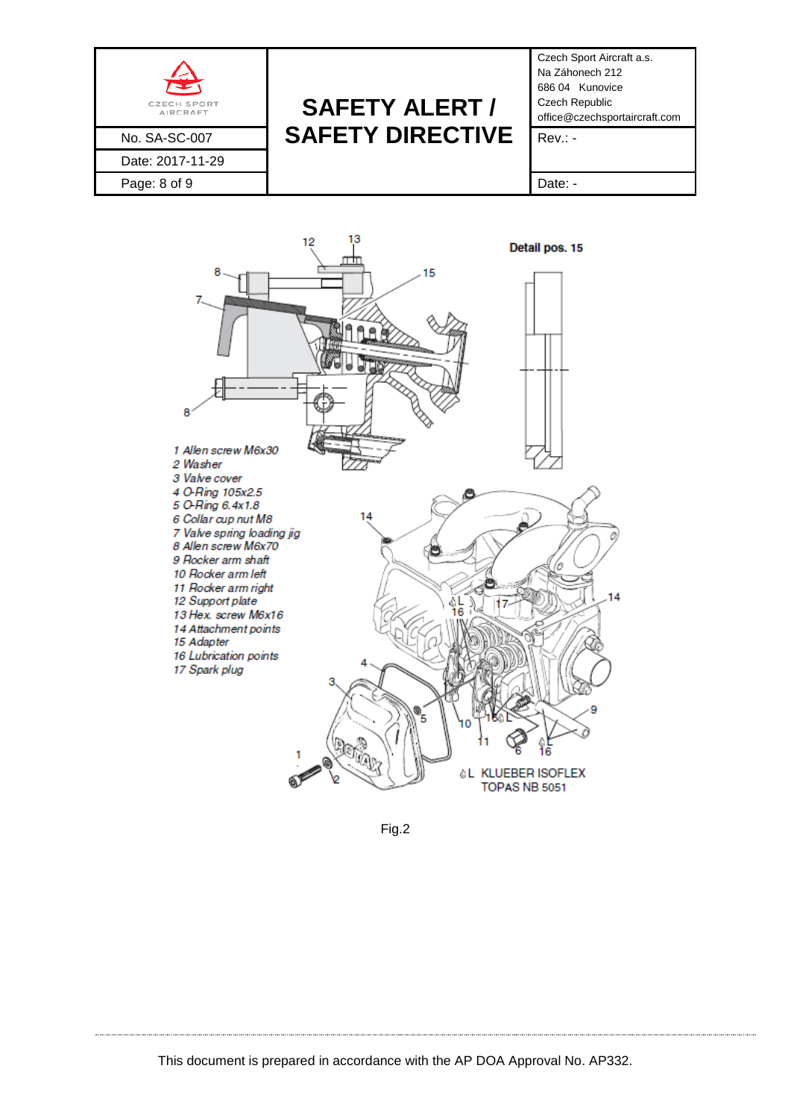



Fig.2